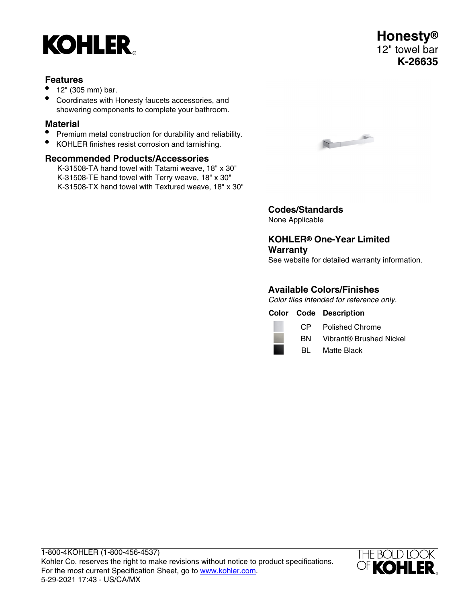

#### **Features**

- 12" (305 mm) bar.
- Coordinates with Honesty faucets accessories, and showering components to complete your bathroom.

# **Material**

- Premium metal construction for durability and reliability.
- KOHLER finishes resist corrosion and tarnishing.

#### **Recommended Products/Accessories**

K-31508-TA hand towel with Tatami weave, 18" x 30" K-31508-TE hand towel with Terry weave, 18" x 30" K-31508-TX hand towel with Textured weave, 18" x 30"



# **Codes/Standards**

None Applicable

### **KOHLER® One-Year Limited Warranty**

See website for detailed warranty information.

#### **Available Colors/Finishes**

Color tiles intended for reference only.

**Color Code Description**



CP Polished Chrome

- BN Vibrant® Brushed Nickel
- BL Matte Black